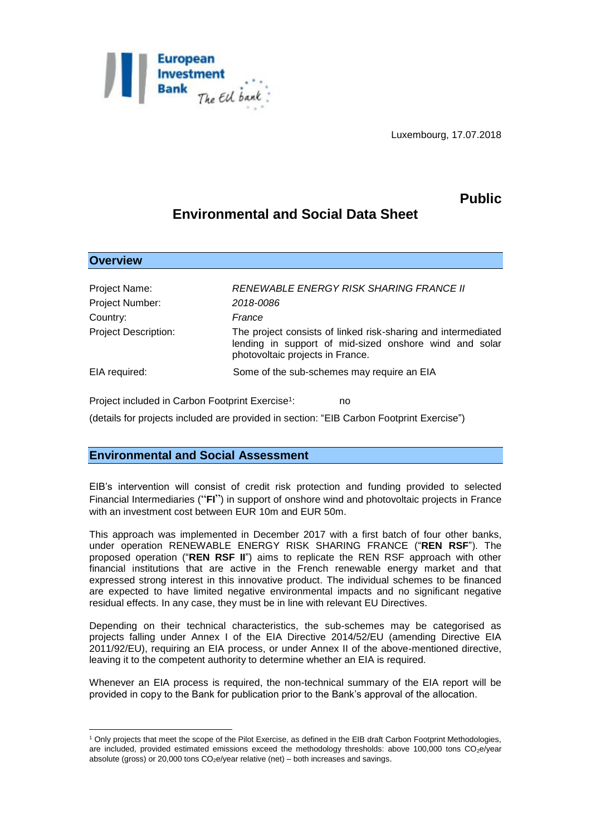

Luxembourg, 17.07.2018

## **Public**

## **Environmental and Social Data Sheet**

| <b>Overview</b>             |                                                                                                                                                             |
|-----------------------------|-------------------------------------------------------------------------------------------------------------------------------------------------------------|
|                             |                                                                                                                                                             |
| Project Name:               | RENEWABLE ENERGY RISK SHARING FRANCE II                                                                                                                     |
| Project Number:             | 2018-0086                                                                                                                                                   |
| Country:                    | France                                                                                                                                                      |
| <b>Project Description:</b> | The project consists of linked risk-sharing and intermediated<br>lending in support of mid-sized onshore wind and solar<br>photovoltaic projects in France. |
| EIA required:               | Some of the sub-schemes may require an EIA                                                                                                                  |

Project included in Carbon Footprint Exercise<sup>1</sup>: : no

(details for projects included are provided in section: "EIB Carbon Footprint Exercise")

## **Environmental and Social Assessment**

<u>.</u>

EIB's intervention will consist of credit risk protection and funding provided to selected Financial Intermediaries ("**FI**") in support of onshore wind and photovoltaic projects in France with an investment cost between EUR 10m and EUR 50m.

This approach was implemented in December 2017 with a first batch of four other banks, under operation RENEWABLE ENERGY RISK SHARING FRANCE ("**REN RSF**"). The proposed operation ("**REN RSF II**") aims to replicate the REN RSF approach with other financial institutions that are active in the French renewable energy market and that expressed strong interest in this innovative product. The individual schemes to be financed are expected to have limited negative environmental impacts and no significant negative residual effects. In any case, they must be in line with relevant EU Directives.

Depending on their technical characteristics, the sub-schemes may be categorised as projects falling under Annex I of the EIA Directive 2014/52/EU (amending Directive EIA 2011/92/EU), requiring an EIA process, or under Annex II of the above-mentioned directive, leaving it to the competent authority to determine whether an EIA is required.

Whenever an EIA process is required, the non-technical summary of the EIA report will be provided in copy to the Bank for publication prior to the Bank's approval of the allocation.

<sup>1</sup> Only projects that meet the scope of the Pilot Exercise, as defined in the EIB draft Carbon Footprint Methodologies, are included, provided estimated emissions exceed the methodology thresholds: above 100,000 tons  $CO<sub>2</sub>e/year$ absolute (gross) or 20,000 tons  $CO<sub>2</sub>e/year$  relative (net) – both increases and savings.